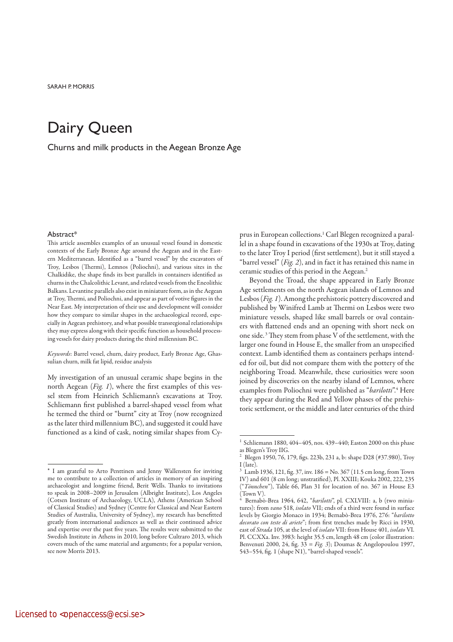SARAH P. MORRIS

# Dairy Queen

Churns and milk products in the Aegean Bronze Age

#### Abstract\*

This article assembles examples of an unusual vessel found in domestic contexts of the Early Bronze Age around the Aegean and in the Eastern Mediterranean. Identified as a "barrel vessel" by the excavators of Troy, Lesbos (Thermi), Lemnos (Poliochni), and various sites in the Chalkidike, the shape finds its best parallels in containers identified as churns in the Chalcolithic Levant, and related vessels from the Eneolithic Balkans. Levantine parallels also exist in miniature form, as in the Aegean at Troy, Thermi, and Poliochni, and appear as part of votive figures in the Near East. My interpretation of their use and development will consider how they compare to similar shapes in the archaeological record, especially in Aegean prehistory, and what possible transregional relationships they may express along with their specific function as household processing vessels for dairy products during the third millennium BC.

*Keywords*: Barrel vessel, churn, dairy product, Early Bronze Age, Ghassulian churn, milk fat lipid, residue analysis

My investigation of an unusual ceramic shape begins in the north Aegean (*Fig. 1*), where the first examples of this vessel stem from Heinrich Schliemann's excavations at Troy. Schliemann first published a barrel-shaped vessel from what he termed the third or "burnt" city at Troy (now recognized as the later third millennium BC), and suggested it could have functioned as a kind of cask, noting similar shapes from Cy-

prus in European collections.1 Carl Blegen recognized a parallel in a shape found in excavations of the 1930s at Troy, dating to the later Troy I period (first settlement), but it still stayed a "barrel vessel" (*Fig. 2*), and in fact it has retained this name in ceramic studies of this period in the Aegean.2

Beyond the Troad, the shape appeared in Early Bronze Age settlements on the north Aegean islands of Lemnos and Lesbos (*Fig. 1*). Among the prehistoric pottery discovered and published by Winifred Lamb at Thermi on Lesbos were two miniature vessels, shaped like small barrels or oval containers with flattened ends and an opening with short neck on one side. 3 They stem from phase V of the settlement, with the larger one found in House E, the smaller from an unspecified context. Lamb identified them as containers perhaps intended for oil, but did not compare them with the pottery of the neighboring Troad. Meanwhile, these curiosities were soon joined by discoveries on the nearby island of Lemnos, where examples from Poliochni were published as "*barilotti*".4 Here they appear during the Red and Yellow phases of the prehistoric settlement, or the middle and later centuries of the third

<sup>\*</sup> I am grateful to Arto Penttinen and Jenny Wallensten for inviting me to contribute to a collection of articles in memory of an inspiring archaeologist and longtime friend, Berit Wells. Thanks to invitations to speak in 2008–2009 in Jerusalem (Albright Institute), Los Angeles (Cotsen Institute of Archaeology, UCLA), Athens (American School of Classical Studies) and Sydney (Centre for Classical and Near Eastern Studies of Australia, University of Sydney), my research has benefitted greatly from international audiences as well as their continued advice and expertise over the past five years. The results were submitted to the Swedish Institute in Athens in 2010, long before Cultraro 2013, which covers much of the same material and arguments; for a popular version, see now Morris 2013.

 $1$  Schliemann 1880, 404-405, nos. 439-440; Easton 2000 on this phase as Blegen's Troy IIG.

<sup>2</sup> Blegen 1950, 76, 179, figs. 223b, 231 a, b: shape D28 (#37.980), Troy I (late).

 $3 \text{ Lamb } 1936, 121, \text{ fig. } 37, \text{ inv. } 186 = \text{No. } 367 (11.5 \text{ cm long, from Town})$ IV) and 601 (8 cm long; unstratified), Pl. XXIII; Kouka 2002, 222, 235 ("*Tönnchen*"), Table 66, Plan 31 for location of no. 367 in House E3 (Town V).

<sup>4</sup> Bernabò-Brea 1964, 642, "*barilotti*", pl. CXLVIII: a, b (two miniatures): from *vano* 518, *isolato* VII; ends of a third were found in surface levels by Giorgio Monaco in 1934; Bernabò-Brea 1976, 276: "*barilotto decorato con teste di ariete*"; from first trenches made by Ricci in 1930, east of *Strada* 105, at the level of *isolato* VII: from House 401, *isolato* VI. Pl. CCXXa. Inv. 3983: height 35.5 cm, length 48 cm (color illustration: Benvenuti 2000, 24, fig. 33 = *Fig. 3*); Doumas & Angelopoulou 1997, 543–554, fig. 1 (shape N1), "barrel-shaped vessels".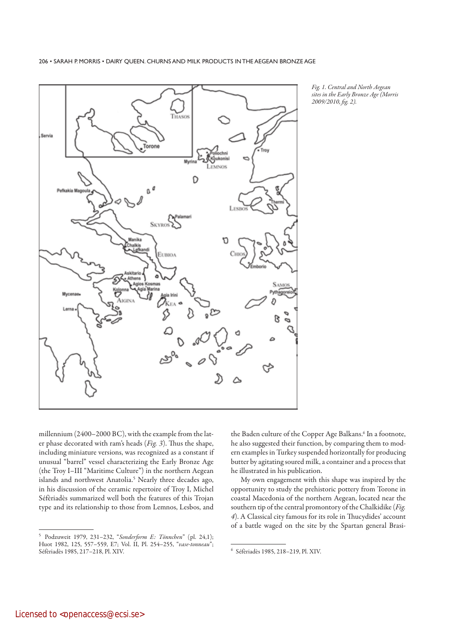

*Fig. 1. Central and North Aegean sites in the Early Bronze Age (Morris 2009/2010, fig. 2).*

millennium (2400–2000 BC), with the example from the later phase decorated with ram's heads (*Fig. 3*). Thus the shape, including miniature versions, was recognized as a constant if unusual "barrel" vessel characterizing the Early Bronze Age (the Troy I–III "Maritime Culture") in the northern Aegean islands and northwest Anatolia.5 Nearly three decades ago, in his discussion of the ceramic repertoire of Troy I, Michel Séfèriadès summarized well both the features of this Trojan type and its relationship to those from Lemnos, Lesbos, and

the Baden culture of the Copper Age Balkans.<sup>6</sup> In a footnote, he also suggested their function, by comparing them to modern examples in Turkey suspended horizontally for producing butter by agitating soured milk, a container and a process that he illustrated in his publication.

My own engagement with this shape was inspired by the opportunity to study the prehistoric pottery from Torone in coastal Macedonia of the northern Aegean, located near the southern tip of the central promontory of the Chalkidike (*Fig. 4*). A Classical city famous for its role in Thucydides' account of a battle waged on the site by the Spartan general Brasi-

<sup>5</sup> Podzuweit 1979, 231–232, "*Sonderform E: Tönnchen*" (pl. 24,1); Huot 1982, 125, 557–559, E7; Vol. II, Pl. 254–255, "*vase-tonneau*"; Séfèriadès 1985, 217–218, Pl. XIV.

<sup>6</sup> Séfèriadès 1985, 218–219, Pl. XIV.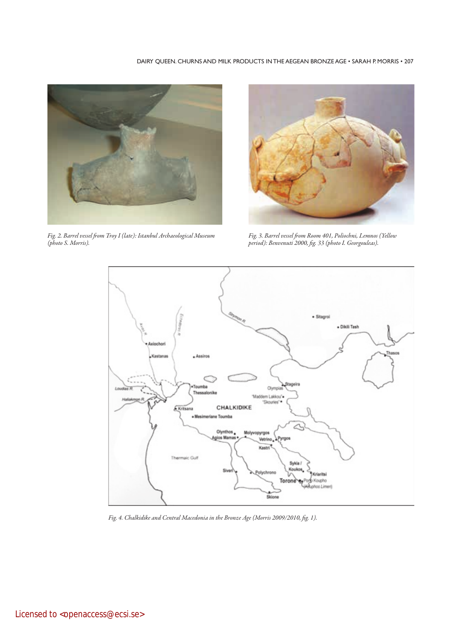### DAIRY QUEEN. CHURNS AND MILK PRODUCTS IN THE AEGEAN BRONZE AGE . SARAH P. MORRIS . 207



*Fig. 2. Barrel vessel from Troy I (late): Istanbul Archaeological Museum (photo S. Morris).*



*Fig. 3. Barrel vessel from Room 401, Poliochni, Lemnos (Yellow period): Benvenuti 2000, fig. 33 (photo I. Georgouleas).*



*Fig. 4. Chalkidike and Central Macedonia in the Bronze Age (Morris 2009/2010, fig. 1).*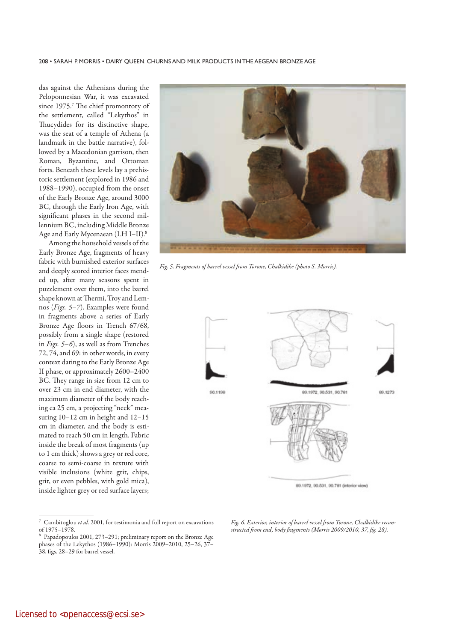das against the Athenians during the Peloponnesian War, it was excavated since 1975.<sup>7</sup> The chief promontory of the settlement, called "Lekythos" in Thucydides for its distinctive shape, was the seat of a temple of Athena (a landmark in the battle narrative), followed by a Macedonian garrison, then Roman, Byzantine, and Ottoman forts. Beneath these levels lay a prehistoric settlement (explored in 1986 and 1988–1990), occupied from the onset of the Early Bronze Age, around 3000 BC, through the Early Iron Age, with significant phases in the second millennium BC, including Middle Bronze Age and Early Mycenaean (LH I–II).8

Among the household vessels of the Early Bronze Age, fragments of heavy fabric with burnished exterior surfaces and deeply scored interior faces mended up, after many seasons spent in puzzlement over them, into the barrel shape known at Thermi, Troy and Lemnos (*Figs. 5–7*). Examples were found in fragments above a series of Early Bronze Age floors in Trench 67/68, possibly from a single shape (restored in *Figs. 5–6*), as well as from Trenches 72, 74, and 69: in other words, in every context dating to the Early Bronze Age II phase, or approximately 2600–2400 BC. They range in size from 12 cm to over 23 cm in end diameter, with the maximum diameter of the body reaching ca 25 cm, a projecting "neck" measuring 10–12 cm in height and 12–15 cm in diameter, and the body is estimated to reach 50 cm in length. Fabric inside the break of most fragments (up to 1 cm thick) shows a grey or red core, coarse to semi-coarse in texture with visible inclusions (white grit, chips, grit, or even pebbles, with gold mica), inside lighter grey or red surface layers;



*Fig. 5. Fragments of barrel vessel from Torone, Chalkidike (photo S. Morris).*



Cambitoglou et al. 2001, for testimonia and full report on excavations of 1975–1978.

*Fig. 6. Exterior, interior of barrel vessel from Torone, Chalkidike reconstructed from end, body fragments (Morris 2009/2010, 37, fig. 28).*

<sup>8</sup> Papadopoulos 2001, 273–291; preliminary report on the Bronze Age phases of the Lekythos (1986–1990): Morris 2009–2010, 25–26, 37– 38, figs. 28–29 for barrel vessel.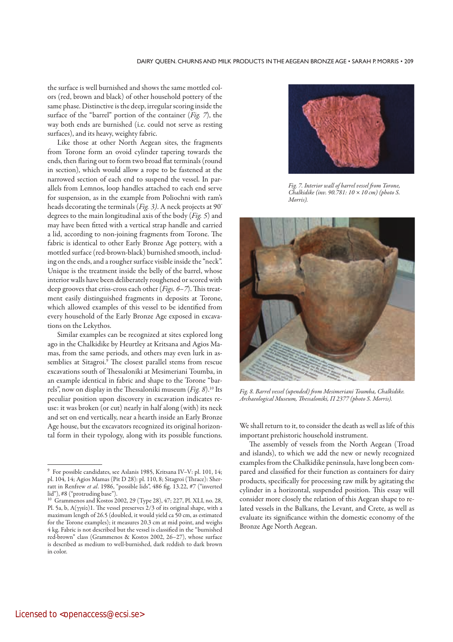the surface is well burnished and shows the same mottled colors (red, brown and black) of other household pottery of the same phase. Distinctive is the deep, irregular scoring inside the surface of the "barrel" portion of the container (*Fig. 7*), the way both ends are burnished (i.e. could not serve as resting surfaces), and its heavy, weighty fabric.

Like those at other North Aegean sites, the fragments from Torone form an ovoid cylinder tapering towards the ends, then flaring out to form two broad flat terminals (round in section), which would allow a rope to be fastened at the narrowed section of each end to suspend the vessel. In parallels from Lemnos, loop handles attached to each end serve for suspension, as in the example from Poliochni with ram's heads decorating the terminals (*Fig. 3)*. A neck projects at 90º degrees to the main longitudinal axis of the body (*Fig. 5*) and may have been fitted with a vertical strap handle and carried a lid, according to non-joining fragments from Torone. The fabric is identical to other Early Bronze Age pottery, with a mottled surface (red-brown-black) burnished smooth, including on the ends, and a rougher surface visible inside the "neck". Unique is the treatment inside the belly of the barrel, whose interior walls have been deliberately roughened or scored with deep grooves that criss-cross each other (*Figs. 6–7*). This treatment easily distinguished fragments in deposits at Torone, which allowed examples of this vessel to be identified from every household of the Early Bronze Age exposed in excavations on the Lekythos.

Similar examples can be recognized at sites explored long ago in the Chalkidike by Heurtley at Kritsana and Agios Mamas, from the same periods, and others may even lurk in assemblies at Sitagroi.<sup>9</sup> The closest parallel stems from rescue excavations south of Thessaloniki at Mesimeriani Toumba, in an example identical in fabric and shape to the Torone "barrels", now on display in the Thessaloniki museum (*Fig. 8*).10 Its peculiar position upon discovery in excavation indicates reuse: it was broken (or cut) nearly in half along (with) its neck and set on end vertically, near a hearth inside an Early Bronze Age house, but the excavators recognized its original horizontal form in their typology, along with its possible functions.



*Fig. 7. Interior wall of barrel vessel from Torone, Chalkidike (inv. 90.781: 10 × 10 cm) (photo S. Morris).*



*Fig. 8. Barrel vessel (upended) from Mesimeriani Toumba, Chalkidike. Archaeological Museum, Thessaloniki, Π 2377 (photo S. Morris).*

We shall return to it, to consider the death as well as life of this important prehistoric household instrument.

The assembly of vessels from the North Aegean (Troad and islands), to which we add the new or newly recognized examples from the Chalkidike peninsula, have long been compared and classified for their function as containers for dairy products, specifically for processing raw milk by agitating the cylinder in a horizontal, suspended position. This essay will consider more closely the relation of this Aegean shape to related vessels in the Balkans, the Levant, and Crete, as well as evaluate its significance within the domestic economy of the Bronze Age North Aegean.

<sup>9</sup> For possible candidates, see Aslanis 1985, Kritsana IV–V: pl. 101, 14; pl. 104, 14; Agios Mamas (Pit D 28): pl. 110, 8; Sitagroi (Thrace): Sherratt in Renfrew *et al*. 1986, "possible lids", 486 fig. 13.22, #7 ("inverted lid"), #8 ("protruding base").

<sup>10</sup> Grammenos and Kostos 2002, 29 (Type 28), 47; 227, Pl. XLI, no. 28, Pl. 5a, b, A(γγείο)1. The vessel preserves 2/3 of its original shape, with a maximum length of 26.5 (doubled, it would yield ca 50 cm, as estimated for the Torone examples); it measures 20.3 cm at mid point, and weighs 4 kg. Fabric is not described but the vessel is classified in the "burnished red-brown" class (Grammenos & Kostos 2002, 26–27), whose surface is described as medium to well-burnished, dark reddish to dark brown in color.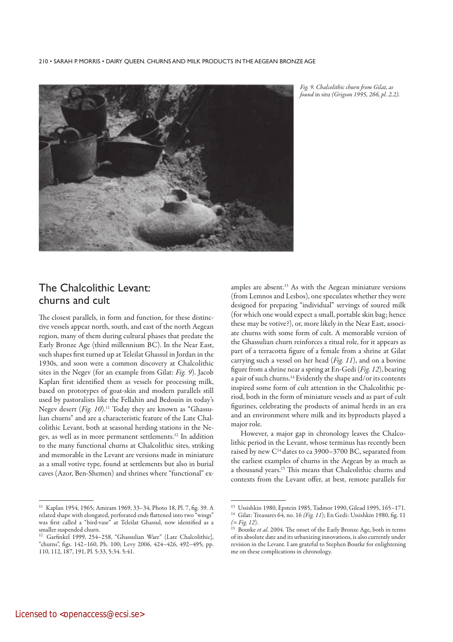

*Fig. 9. Chalcolithic churn from Gilat, as found* in situ *(Grigson 1995, 266, pl. 2.2).*

## The Chalcolithic Levant: churns and cult

The closest parallels, in form and function, for these distinctive vessels appear north, south, and east of the north Aegean region, many of them during cultural phases that predate the Early Bronze Age (third millennium BC). In the Near East, such shapes first turned up at Teleilat Ghassul in Jordan in the 1930s, and soon were a common discovery at Chalcolithic sites in the Negev (for an example from Gilat: *Fig. 9*). Jacob Kaplan first identified them as vessels for processing milk, based on prototypes of goat-skin and modern parallels still used by pastoralists like the Fellahin and Bedouin in today's Negev desert (*Fig. 10*).<sup>11</sup> Today they are known as "Ghassulian churns" and are a characteristic feature of the Late Chalcolithic Levant, both at seasonal herding stations in the Negev, as well as in more permanent settlements.12 In addition to the many functional churns at Chalcolithic sites, striking and memorable in the Levant are versions made in miniature as a small votive type, found at settlements but also in burial caves (Azor, Ben-Shemen) and shrines where "functional" examples are absent.<sup>13</sup> As with the Aegean miniature versions (from Lemnos and Lesbos), one speculates whether they were designed for preparing "individual" servings of soured milk (for which one would expect a small, portable skin bag; hence these may be votive?), or, more likely in the Near East, associate churns with some form of cult. A memorable version of the Ghassulian churn reinforces a ritual role, for it appears as part of a terracotta figure of a female from a shrine at Gilat carrying such a vessel on her head (*Fig. 11*), and on a bovine figure from a shrine near a spring at En-Gedi (*Fig. 12*), bearing a pair of such churns.14 Evidently the shape and/or its contents inspired some form of cult attention in the Chalcolithic period, both in the form of miniature vessels and as part of cult figurines, celebrating the products of animal herds in an era and an environment where milk and its byproducts played a major role.

However, a major gap in chronology leaves the Chalcolithic period in the Levant, whose terminus has recently been raised by new  $C^{14}$  dates to ca 3900-3700 BC, separated from the earliest examples of churns in the Aegean by as much as a thousand years.15 This means that Chalcolithic churns and contexts from the Levant offer, at best, remote parallels for

<sup>11</sup> Kaplan 1954, 1965; Amiram 1969, 33–34, Photo 18, Pl. 7, fig. 39. A related shape with elongated, perforated ends flattened into two "wings" was first called a "bird-vase" at Teleilat Ghassul, now identified as a smaller suspended churn.

<sup>12</sup> Garfinkel 1999, 254–258, "Ghassulian Ware" (Late Chalcolithic], "churns", figs. 142–160, Ph. 100; Levy 2006, 424–426, 492–495; pp. 110, 112, 187, 191, Pl. 5:33, 5:34. 5:41.

<sup>13</sup> Ussishkin 1980, Epstein 1985, Tadmor 1990, Gilead 1995, 165–171. 14 Gilat: Treasures 64, no. 16 *(Fig. 11*); En Gedi: Ussishkin 1980, fig. 11

 $(= Fig. 12).$ <sup>11</sup> 15 Bourke *et al*. 2004. The onset of the Early Bronze Age, both in terms

of its absolute date and its urbanizing innovations, is also currently under revision in the Levant. I am grateful to Stephen Bourke for enlightening me on these complications in chronology.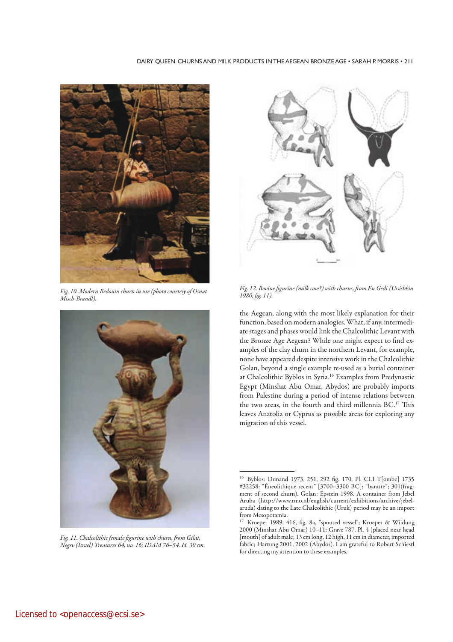#### DAIRY QUEEN. CHURNS AND MILK PRODUCTS IN THE AEGEAN BRONZE AGE . SARAH P. MORRIS . 211



*Fig. 10. Modern Bedouin churn in use (photo courtesy of Osnat Misch-Brandl).*



*Fig. 11. Chalcolithic female figurine with churn, from Gilat, Negev (Israel) Treasures 64, no. 16; IDAM 76–54. H. 30 cm.*



*Fig. 12. Bovine figurine (milk cow?) with churns, from En Gedi (Ussishkin 1980, fig. 11).*

the Aegean, along with the most likely explanation for their function, based on modern analogies. What, if any, intermediate stages and phases would link the Chalcolithic Levant with the Bronze Age Aegean? While one might expect to find examples of the clay churn in the northern Levant, for example, none have appeared despite intensive work in the Chalcolithic Golan, beyond a single example re-used as a burial container at Chalcolithic Byblos in Syria.16 Examples from Predynastic Egypt (Minshat Abu Omar, Abydos) are probably imports from Palestine during a period of intense relations between the two areas, in the fourth and third millennia BC.17 This leaves Anatolia or Cyprus as possible areas for exploring any migration of this vessel.

<sup>16</sup> Byblos: Dunand 1973, 251, 292 fig. 170, Pl. CLI T[ombe] 1735 #32258: "Éneolithique recent" [3700–3300 BC]: "baratte"; 301(fragment of second churn). Golan: Epstein 1998. A container from Jebel Aruba (http://www.rmo.nl/english/current/exhibitions/archive/jebelaruda) dating to the Late Chalcolithic (Uruk) period may be an import from Mesopotamia.

<sup>&</sup>lt;sup>17</sup> Kroeper 1989, 416, fig. 8a, "spouted vessel"; Kroeper & Wildung 2000 (Minshat Abu Omar) 10–11: Grave 787, Pl. 4 (placed near head [mouth] of adult male; 13 cm long, 12 high, 11 cm in diameter, imported fabric; Hartung 2001, 2002 (Abydos). I am grateful to Robert Schiestl for directing my attention to these examples.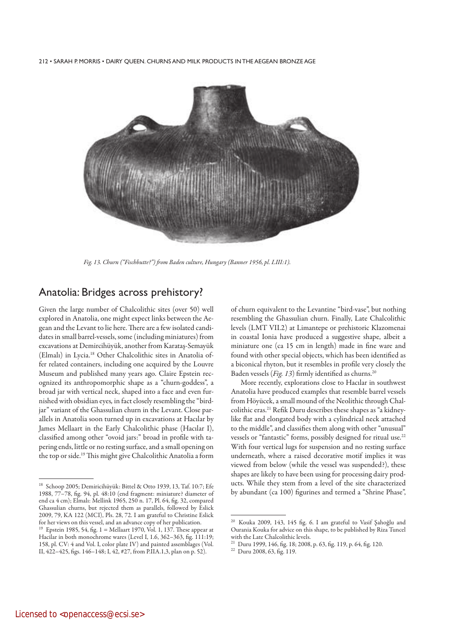212 • SARAH P. MORRIS • DAIRY OUEEN, CHURNS AND MILK PRODUCTS IN THE AEGEAN BRONZE AGE



*Fig. 13. Churn ("Fischbutte?") from Baden culture, Hungary (Banner 1956, pl. LIII:1).*

### Anatolia: Bridges across prehistory?

Given the large number of Chalcolithic sites (over 50) well explored in Anatolia, one might expect links between the Aegean and the Levant to lie here. There are a few isolated candidates in small barrel-vessels, some (including miniatures) from excavations at Demircihüyük, another from Karataş-Semayük (Elmalı) in Lycia.18 Other Chalcolithic sites in Anatolia offer related containers, including one acquired by the Louvre Museum and published many years ago. Claire Epstein recognized its anthropomorphic shape as a "churn-goddess", a broad jar with vertical neck, shaped into a face and even furnished with obsidian eyes*,* in fact closely resembling the "birdjar" variant of the Ghassulian churn in the Levant. Close parallels in Anatolia soon turned up in excavations at Hacılar by James Mellaart in the Early Chalcolithic phase (Hacılar I), classified among other "ovoid jars:" broad in profile with tapering ends, little or no resting surface, and a small opening on the top or side.19 This might give Chalcolithic Anatolia a form of churn equivalent to the Levantine "bird-vase", but nothing resembling the Ghassulian churn. Finally, Late Chalcolithic levels (LMT VII.2) at Limantepe or prehistoric Klazomenai in coastal Ionia have produced a suggestive shape, albeit a miniature one (ca 15 cm in length) made in fine ware and found with other special objects, which has been identified as a biconical rhyton, but it resembles in profile very closely the Baden vessels (*Fig. 13*) firmly identified as churns.<sup>20</sup>

More recently, explorations close to Hacılar in southwest Anatolia have produced examples that resemble barrel vessels from Höyücek, a small mound of the Neolithic through Chalcolithic eras.<sup>21</sup> Refik Duru describes these shapes as "a kidneylike flat and elongated body with a cylindrical neck attached to the middle", and classifies them along with other "unusual" vessels or "fantastic" forms, possibly designed for ritual use.<sup>22</sup> With four vertical lugs for suspension and no resting surface underneath, where a raised decorative motif implies it was viewed from below (while the vessel was suspended?), these shapes are likely to have been using for processing dairy products. While they stem from a level of the site characterized by abundant (ca 100) figurines and termed a "Shrine Phase",

<sup>18</sup> Schoop 2005; Demiricihüyük: Bittel & Otto 1939, 13, Taf. 10:7; Efe 1988, 77–78, fig. 94, pl. 48:10 (end fragment: miniature? diameter of end ca 4 cm); Elmalı: Mellink 1965, 250 n. 17, Pl. 64, fig. 32, compared Ghassulian churns, but rejected them as parallels, followed by Eslick 2009, 79, KA 122 (MCI), Pls. 28, 72. I am grateful to Christine Eslick for her views on this vessel, and an advance copy of her publication.

<sup>&</sup>lt;sup>19</sup> Epstein 1985, 54, fig. 1 = Mellaart 1970, Vol. 1, 137. These appear at Hacilar in both monochrome wares (Level I, 1.6, 362–363, fig. 111:19; 158, pl. CV: 4 and Vol. I, color plate IV) and painted assemblages (Vol. II, 422–425, figs. 146–148; I, 42, #27, from P.IIA.1,3, plan on p. 52).

<sup>20</sup> Kouka 2009, 143, 145 fig. 6. I am grateful to Vasif Şahoğlu and Ourania Kouka for advice on this shape, to be published by Riza Tuncel with the Late Chalcolithic levels.

<sup>21</sup> Duru 1999, 146, fig. 18; 2008, p. 63, fig. 119, p. 64, fig. 120.

<sup>22</sup> Duru 2008, 63, fig. 119.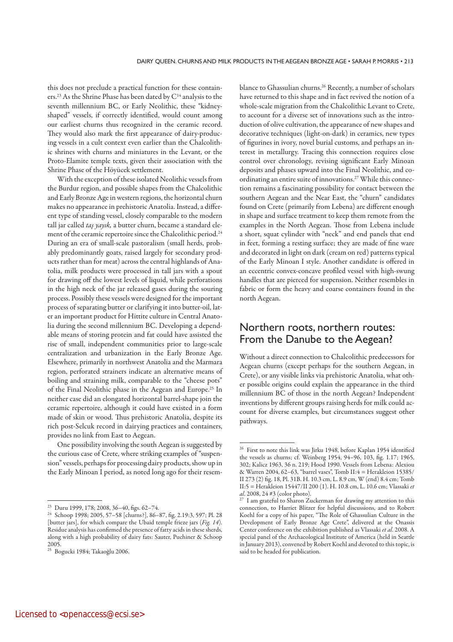this does not preclude a practical function for these containers.<sup>23</sup> As the Shrine Phase has been dated by C<sup>14</sup> analysis to the seventh millennium BC, or Early Neolithic, these "kidneyshaped" vessels, if correctly identified, would count among our earliest churns thus recognized in the ceramic record. They would also mark the first appearance of dairy-producing vessels in a cult context even earlier than the Chalcolithic shrines with churns and miniatures in the Levant, or the Proto-Elamite temple texts, given their association with the Shrine Phase of the Höyücek settlement.

With the exception of these isolated Neolithic vessels from the Burdur region, and possible shapes from the Chalcolithic and Early Bronze Age in western regions, the horizontal churn makes no appearance in prehistoric Anatolia. Instead, a different type of standing vessel, closely comparable to the modern tall jar called *taş yayık,* a butter churn, became a standard element of the ceramic repertoire since the Chalcolithic period.24 During an era of small-scale pastoralism (small herds, probably predominantly goats, raised largely for secondary products rather than for meat) across the central highlands of Anatolia, milk products were processed in tall jars with a spout for drawing off the lowest levels of liquid, while perforations in the high neck of the jar released gases during the souring process. Possibly these vessels were designed for the important process of separating butter or clarifying it into butter-oil, later an important product for Hittite culture in Central Anatolia during the second millennium BC. Developing a dependable means of storing protein and fat could have assisted the rise of small, independent communities prior to large-scale centralization and urbanization in the Early Bronze Age. Elsewhere, primarily in northwest Anatolia and the Marmara region, perforated strainers indicate an alternative means of boiling and straining milk, comparable to the "cheese pots" of the Final Neolithic phase in the Aegean and Europe.<sup>25</sup> In neither case did an elongated horizontal barrel-shape join the ceramic repertoire, although it could have existed in a form made of skin or wood. Thus prehistoric Anatolia, despite its rich post-Selcuk record in dairying practices and containers, provides no link from East to Aegean.

One possibility involving the south Aegean is suggested by the curious case of Crete, where striking examples of "suspension" vessels, perhaps for processing dairy products, show up in the Early Minoan I period, as noted long ago for their resemblance to Ghassulian churns.<sup>26</sup> Recently, a number of scholars have returned to this shape and in fact revived the notion of a whole-scale migration from the Chalcolithic Levant to Crete, to account for a diverse set of innovations such as the introduction of olive cultivation, the appearance of new shapes and decorative techniques (light-on-dark) in ceramics, new types of figurines in ivory, novel burial customs, and perhaps an interest in metallurgy. Tracing this connection requires close control over chronology, revising significant Early Minoan deposits and phases upward into the Final Neolithic, and coordinating an entire suite of innovations.27 While this connection remains a fascinating possibility for contact between the southern Aegean and the Near East, the "churn" candidates found on Crete (primarily from Lebena) are different enough in shape and surface treatment to keep them remote from the examples in the North Aegean. Those from Lebena include a short, squat cylinder with "neck" and end panels that end in feet, forming a resting surface; they are made of fine ware and decorated in light on dark (cream on red) patterns typical of the Early Minoan I style. Another candidate is offered in an eccentric convex-concave profiled vessel with high-swung handles that are pierced for suspension. Neither resembles in fabric or form the heavy and coarse containers found in the north Aegean.

### Northern roots, northern routes: From the Danube to the Aegean?

Without a direct connection to Chalcolithic predecessors for Aegean churns (except perhaps for the southern Aegean, in Crete), or any visible links via prehistoric Anatolia, what other possible origins could explain the appearance in the third millennium BC of those in the north Aegean? Independent inventions by different groups raising herds for milk could account for diverse examples, but circumstances suggest other pathways.

<sup>23</sup> Duru 1999, 178; 2008, 36–40, figs. 62–74.

<sup>24</sup> Schoop 1998; 2005, 57–58 [churns?], 86–87, fig. 2.19:3, 597; Pl. 28 [butter jars], for which compare the Ubaid temple frieze jars (*Fig. 14*). Residue analysis has confirmed the presence of fatty acids in these sherds, along with a high probability of dairy fats: Sauter, Puchiner & Schoop 2005.

<sup>&</sup>lt;sup>25</sup> Bogucki 1984; Takaoğlu 2006.

<sup>&</sup>lt;sup>26</sup> First to note this link was Jirku 1948, before Kaplan 1954 identified the vessels as churns; cf. Weinberg 1954, 94–96, 103, fig. 1.17; 1965, 302; Kalicz 1963, 36 n. 219; Hood 1990. Vessels from Lebena: Alexiou & Warren 2004, 62–63, "barrel vases", Tomb II:4 = Herakleion 15385/ II 273 (2) fig. 18, Pl. 31B. H. 10.3 cm, L. 8.9 cm, W (end) 8.4 cm; Tomb II:5 = Herakleion 15447/II 200 (1). H. 10.8 cm, L. 10.6 cm; Vlassaki *et al*. 2008, 24 #3 (color photo).

I am grateful to Sharon Zuckerman for drawing my attention to this connection, to Harriet Blitzer for helpful discussions, and to Robert Koehl for a copy of his paper, "The Role of Ghassulian Culture in the Development of Early Bronze Age Crete", delivered at the Onassis Center conference on the exhibition published as Vlassaki *et al*. 2008. A special panel of the Archaeological Institute of America (held in Seattle in January 2013), convened by Robert Koehl and devoted to this topic, is said to be headed for publication.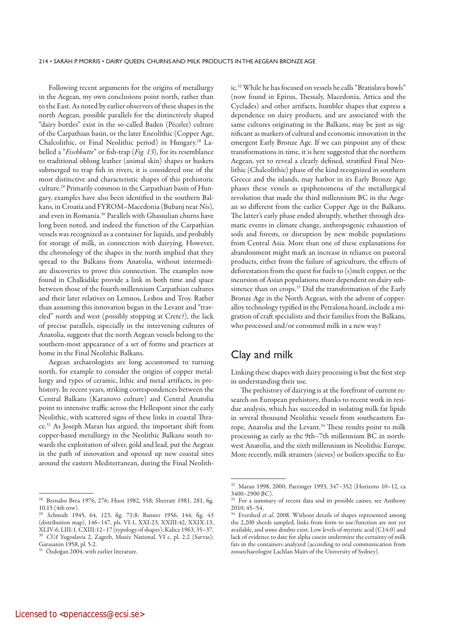Following recent arguments for the origins of metallurgy in the Aegean, my own conclusions point north, rather than to the East. As noted by earlier observers of these shapes in the north Aegean, possible parallels for the distinctively shaped "dairy bottles" exist in the so-called Baden (Péceler) culture of the Carpathian basin, or the later Eneolithic (Copper Age, Chalcolithic, or Final Neolithic period) in Hungary.<sup>28</sup> Labelled a "*Fischbutte*" or fish-trap (*Fig. 13*), for its resemblance to traditional oblong leather (animal skin) shapes or baskets submerged to trap fish in rivers, it is considered one of the most distinctive and characteristic shapes of this prehistoric culture.29 Primarily common in the Carpathian basin of Hungary, examples have also been identified in the southern Balkans, in Croatia and FYROM–Macedonia (Bubanj near Nis), and even in Romania.30 Parallels with Ghassulian churns have long been noted, and indeed the function of the Carpathian vessels was recognized as a container for liquids, and probably for storage of milk, in connection with dairying. However, the chronology of the shapes in the north implied that they spread to the Balkans from Anatolia, without intermediate discoveries to prove this connection. The examples now found in Chalkidike provide a link in both time and space between those of the fourth-millennium Carpathian cultures and their later relatives on Lemnos, Lesbos and Troy. Rather than assuming this innovation began in the Levant and "traveled" north and west (possibly stopping at Crete?), the lack of precise parallels, especially in the intervening cultures of Anatolia, suggests that the north Aegean vessels belong to the southern-most appearance of a set of forms and practices at home in the Final Neolithic Balkans.

Aegean archaeologists are long accustomed to turning north, for example to consider the origins of copper metallurgy and types of ceramic, lithic and metal artifacts, in prehistory. In recent years, striking correspondences between the Central Balkans (Karanovo culture) and Central Anatolia point to intensive traffic across the Hellespont since the early Neolithic, with scattered signs of these links in coastal Thrace.31 As Joseph Maran has argued, the important shift from copper-based metallurgy in the Neolithic Balkans south towards the exploitation of silver, gold and lead, put the Aegean in the path of innovation and opened up new coastal sites around the eastern Mediterranean, during the Final Neolithic.32 While he has focused on vessels he calls "Bratislava bowls" (now found in Epirus, Thessaly, Macedonia, Attica and the Cyclades) and other artifacts, humbler shapes that express a dependence on dairy products, and are associated with the same cultures originating in the Balkans, may be just as significant as markers of cultural and economic innovation in the emergent Early Bronze Age. If we can pinpoint any of these transformations in time, it is here suggested that the northern Aegean, yet to reveal a clearly defined, stratified Final Neolithic (Chalcolithic) phase of the kind recognized in southern Greece and the islands, may harbor in its Early Bronze Age phases these vessels as epiphenomena of the metallurgical revolution that made the third millennium BC in the Aegean so different from the earlier Copper Age in the Balkans. The latter's early phase ended abruptly, whether through dramatic events in climate change, anthropogenic exhaustion of soils and forests, or disruption by new mobile populations from Central Asia. More than one of these explanations for abandonment might mark an increase in reliance on pastoral products, either from the failure of agriculture, the effects of deforestation from the quest for fuels to (s)melt copper, or the incursion of Asian populations more dependent on dairy subsistence than on crops.<sup>33</sup> Did the transformation of the Early Bronze Age in the North Aegean, with the advent of copperalloy technology typified in the Petralona hoard, include a migration of craft specialists and their families from the Balkans, who processed and/or consumed milk in a new way?

### Clay and milk

Linking these shapes with dairy processing is but the first step in understanding their use.

The prehistory of dairying is at the forefront of current research on European prehistory, thanks to recent work in residue analysis, which has succeeded in isolating milk fat lipids in several thousand Neolithic vessels from southeastern Europe, Anatolia and the Levant.<sup>34</sup> These results point to milk processing as early as the 9th–7th millennium BC in northwest Anatolia, and the sixth millennium in Neolithic Europe. More recently, milk strainers (sieves) or boilers specific to Eu-

<sup>28</sup> Bernabo Brea 1976, 276; Huot 1982, 558; Sherratt 1981, 281, fig. 10.15 (4th row).

<sup>29</sup> Schmidt 1945, 64, 123, fig. 71:8; Banner 1956, 144, fig. 43 (distribution map), 146–147, pls. VI:1, XXI:23, XXIII:42, XXIX:13, XLIV:6, LIII:1, CXIII:12–17 (typology of shapes); Kalicz 1963, 35–37. <sup>30</sup>*CVA* Yugoslavia 2, Zagreb, Musée National, VI c, pl. 2:2 (Sarvas);

Garasanin 1958, pl. 5:2.<br> $^{31}$  Özdeğen 2004 Özdoğan 2004, with earlier literature.

<sup>32</sup> Maran 1998, 2000; Parzinger 1993, 347–352 (Horizons 10–12, ca  $3400-2900$  BC).<br> $33E_{22}$ 

For a summary of recent data and its possible causes, see Anthony 2010, 45–54.

<sup>34</sup> Evershed *et al*. 2008. Without details of shapes represented among the 2,200 sherds sampled, links from form to use/function are not yet available, and some doubts exist. Low levels of myristic acid (C14:0) and lack of evidence to date for alpha casein undermine the certainty of milk fats in the containers analyzed (according to oral communication from zooarchaeologist Lachlan Mairs of the University of Sydney).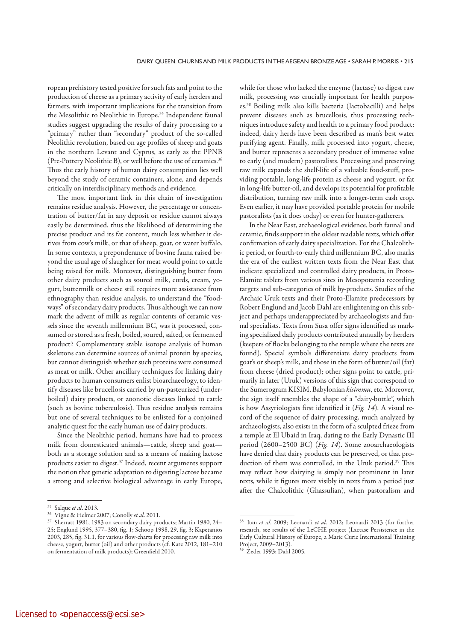ropean prehistory tested positive for such fats and point to the production of cheese as a primary activity of early herders and farmers, with important implications for the transition from the Mesolithic to Neolithic in Europe.<sup>35</sup> Independent faunal studies suggest upgrading the results of dairy processing to a "primary" rather than "secondary" product of the so-called Neolithic revolution, based on age profiles of sheep and goats in the northern Levant and Cyprus, as early as the PPNB (Pre-Pottery Neolithic B), or well before the use of ceramics.36 Thus the early history of human dairy consumption lies well beyond the study of ceramic containers, alone, and depends critically on interdisciplinary methods and evidence.

The most important link in this chain of investigation remains residue analysis. However, the percentage or concentration of butter/fat in any deposit or residue cannot always easily be determined, thus the likelihood of determining the precise product and its fat content, much less whether it derives from cow's milk, or that of sheep, goat, or water buffalo. In some contexts, a preponderance of bovine fauna raised beyond the usual age of slaughter for meat would point to cattle being raised for milk. Moreover, distinguishing butter from other dairy products such as soured milk, curds, cream, yogurt, buttermilk or cheese still requires more assistance from ethnography than residue analysis, to understand the "foodways" of secondary dairy products. Thus although we can now mark the advent of milk as regular contents of ceramic vessels since the seventh millennium BC, was it processed, consumed or stored as a fresh, boiled, soured, salted, or fermented product? Complementary stable isotope analysis of human skeletons can determine sources of animal protein by species, but cannot distinguish whether such proteins were consumed as meat or milk. Other ancillary techniques for linking dairy products to human consumers enlist bioarchaeology, to identify diseases like brucellosis carried by un-pasteurized (underboiled) dairy products, or zoonotic diseases linked to cattle (such as bovine tuberculosis). Thus residue analysis remains but one of several techniques to be enlisted for a conjoined analytic quest for the early human use of dairy products.

Since the Neolithic period, humans have had to process milk from domesticated animals—cattle, sheep and goat both as a storage solution and as a means of making lactose products easier to digest.37 Indeed, recent arguments support the notion that genetic adaptation to digesting lactose became a strong and selective biological advantage in early Europe, while for those who lacked the enzyme (lactase) to digest raw milk, processing was crucially important for health purposes.38 Boiling milk also kills bacteria (lactobacilli) and helps prevent diseases such as brucellosis, thus processing techniques introduce safety and health to a primary food product: indeed, dairy herds have been described as man's best water purifying agent. Finally, milk processed into yogurt, cheese, and butter represents a secondary product of immense value to early (and modern) pastoralists. Processing and preserving raw milk expands the shelf-life of a valuable food-stuff, providing portable, long-life protein as cheese and yogurt, or fat in long-life butter-oil, and develops its potential for profitable distribution, turning raw milk into a longer-term cash crop. Even earlier, it may have provided portable protein for mobile pastoralists (as it does today) or even for hunter-gatherers.

In the Near East, archaeological evidence, both faunal and ceramic, finds support in the oldest readable texts, which offer confirmation of early dairy specialization. For the Chalcolithic period, or fourth-to-early third millennium BC, also marks the era of the earliest written texts from the Near East that indicate specialized and controlled dairy products, in Proto-Elamite tablets from various sites in Mesopotamia recording targets and sub-categories of milk by-products. Studies of the Archaic Uruk texts and their Proto-Elamite predecessors by Robert Englund and Jacob Dahl are enlightening on this subject and perhaps underappreciated by archaeologists and faunal specialists. Texts from Susa offer signs identified as marking specialized daily products contributed annually by herders (keepers of flocks belonging to the temple where the texts are found). Special symbols differentiate dairy products from goat's or sheep's milk, and those in the form of butter/oil (fat) from cheese (dried product); other signs point to cattle, primarily in later (Uruk) versions of this sign that correspond to the Sumerogram KISIM, Babylonian *kisimmu*, etc. Moreover, the sign itself resembles the shape of a "dairy-bottle", which is how Assyriologists first identified it (*Fig. 14*). A visual record of the sequence of dairy processing, much analyzed by archaeologists, also exists in the form of a sculpted frieze from a temple at El Ubaid in Iraq, dating to the Early Dynastic III period (2600–2500 BC) (*Fig. 14*). Some zooarchaeologists have denied that dairy products can be preserved, or that production of them was controlled, in the Uruk period.<sup>39</sup> This may reflect how dairying is simply not prominent in later texts, while it figures more visibly in texts from a period just after the Chalcolithic (Ghassulian), when pastoralism and

<sup>35</sup> Salque *et al*. 2013.

<sup>36</sup> Vigne & Helmer 2007; Conolly *et al*. 2011.

<sup>&</sup>lt;sup>37</sup> Sherratt 1981, 1983 on secondary dairy products; Martin 1980, 24-25; Englund 1995, 377–380, fig. 1; Schoop 1998, 29, fig. 3; Kapetanios 2003, 285, fig. 31.1, for various flow-charts for processing raw milk into cheese, yogurt, butter (oil) and other products (cf. Katz 2012, 181–210 on fermentation of milk products); Greenfield 2010.

<sup>38</sup> Itan *et al*. 2009; Leonardi *et al*. 2012; Leonardi 2013 (for further research, see results of the LeCHE project (Lactase Persistence in the Early Cultural History of Europe, a Marie Curie International Training Project, 2009–2013).

Zeder 1993; Dahl 2005.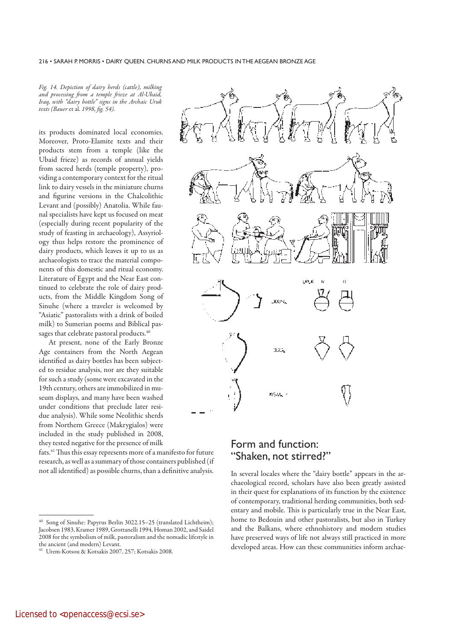#### 216 • SARAH P. MORRIS • DAIRY QUEEN. CHURNS AND MILK PRODUCTS IN THE AEGEAN BRONZE AGE

*Fig. 14. Depiction of dairy herds (cattle), milking and processing from a temple frieze at Al-Ubaid, Iraq, with "dairy bottle" signs in the Archaic Uruk texts (Bauer* et al*. 1998, fig. 54).*

its products dominated local economies. Moreover, Proto-Elamite texts and their products stem from a temple (like the Ubaid frieze) as records of annual yields from sacred herds (temple property), providing a contemporary context for the ritual link to dairy vessels in the miniature churns and figurine versions in the Chalcolithic Levant and (possibly) Anatolia. While faunal specialists have kept us focused on meat (especially during recent popularity of the study of feasting in archaeology), Assyriology thus helps restore the prominence of dairy products, which leaves it up to us as archaeologists to trace the material components of this domestic and ritual economy. Literature of Egypt and the Near East continued to celebrate the role of dairy products, from the Middle Kingdom Song of Sinuhe (where a traveler is welcomed by "Asiatic" pastoralists with a drink of boiled milk) to Sumerian poems and Biblical passages that celebrate pastoral products.<sup>40</sup>

At present, none of the Early Bronze Age containers from the North Aegean identified as dairy bottles has been subjected to residue analysis, nor are they suitable for such a study (some were excavated in the 19th century, others are immobilized in museum displays, and many have been washed under conditions that preclude later residue analysis). While some Neolithic sherds from Northern Greece (Makrygialos) were included in the study published in 2008, they tested negative for the presence of milk

fats.<sup>41</sup> Thus this essay represents more of a manifesto for future research, as well as a summary of those containers published (if not all identified) as possible churns, than a definitive analysis.



### Form and function: "Shaken, not stirred?"

In several locales where the "dairy bottle" appears in the archaeological record, scholars have also been greatly assisted in their quest for explanations of its function by the existence of contemporary, traditional herding communities, both sedentary and mobile. This is particularly true in the Near East, home to Bedouin and other pastoralists, but also in Turkey and the Balkans, where ethnohistory and modern studies have preserved ways of life not always still practiced in more developed areas. How can these communities inform archae-

Song of Sinuhe: Papyrus Berlin 3022.15-25 (translated Lichtheim); Jacobsen 1983, Kramer 1989, Grottanelli 1994, Homan 2002, and Saidel 2008 for the symbolism of milk, pastoralism and the nomadic lifestyle in the ancient (and modern) Levant.

Urem-Kotsou & Kotsakis 2007, 257; Kotsakis 2008.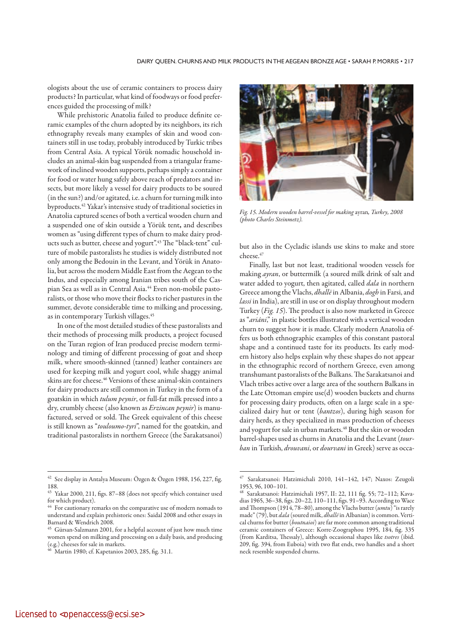ologists about the use of ceramic containers to process dairy products? In particular, what kind of foodways or food preferences guided the processing of milk?

While prehistoric Anatolia failed to produce definite ceramic examples of the churn adopted by its neighbors, its rich ethnography reveals many examples of skin and wood containers still in use today, probably introduced by Turkic tribes from Central Asia. A typical Yörük nomadic household includes an animal-skin bag suspended from a triangular framework of inclined wooden supports, perhaps simply a container for food or water hung safely above reach of predators and insects, but more likely a vessel for dairy products to be soured (in the sun?) and/or agitated, i.e. a churn for turning milk into byproducts.42 Yakar's intensive study of traditional societies in Anatolia captured scenes of both a vertical wooden churn and a suspended one of skin outside a Yörük tent**,** and describes women as "using different types of churn to make dairy products such as butter, cheese and yogurt".<sup>43</sup> The "black-tent" culture of mobile pastoralists he studies is widely distributed not only among the Bedouin in the Levant, and Yörük in Anatolia, but across the modern Middle East from the Aegean to the Indus, and especially among Iranian tribes south of the Caspian Sea as well as in Central Asia.44 Even non-mobile pastoralists, or those who move their flocks to richer pastures in the summer, devote considerable time to milking and processing, as in contemporary Turkish villages.45

In one of the most detailed studies of these pastoralists and their methods of processing milk products, a project focused on the Turan region of Iran produced precise modern terminology and timing of different processing of goat and sheep milk, where smooth-skinned (tanned) leather containers are used for keeping milk and yogurt cool, while shaggy animal skins are for cheese.46 Versions of these animal-skin containers for dairy products are still common in Turkey in the form of a goatskin in which *tulum peynir*, or full-fat milk pressed into a dry, crumbly cheese (also known as *Erzincan peynir*) is manufactured, served or sold. The Greek equivalent of this cheese is still known as "*touloumo-tyri*", named for the goatskin, and traditional pastoralists in northern Greece (the Sarakatsanoi)



*Fig. 15. Modern wooden barrel-vessel for making* ayran*, Turkey, 2008 (photo Charles Steinmetz).*

but also in the Cycladic islands use skins to make and store cheese.47

Finally, last but not least, traditional wooden vessels for making *ayran*, or buttermilk (a soured milk drink of salt and water added to yogurt, then agitated, called *dala* in northern Greece among the Vlachs, *dhallë* in Albania, *dogh* in Farsi, and *lassi* in India), are still in use or on display throughout modern Turkey (*Fig. 15*). The product is also now marketed in Greece as "*ariáni*," in plastic bottles illustrated with a vertical wooden churn to suggest how it is made. Clearly modern Anatolia offers us both ethnographic examples of this constant pastoral shape and a continued taste for its products. Its early modern history also helps explain why these shapes do not appear in the ethnographic record of northern Greece, even among transhumant pastoralists of the Balkans. The Sarakatsanoi and Vlach tribes active over a large area of the southern Balkans in the Late Ottoman empire use(d) wooden buckets and churns for processing dairy products, often on a large scale in a specialized dairy hut or tent (*bantzos*), during high season for dairy herds, as they specialized in mass production of cheeses and yogurt for sale in urban markets.<sup>48</sup> But the skin or wooden barrel-shapes used as churns in Anatolia and the Levant (*tourban* in Turkish, *drouvani*, or *dourvani* in Greek) serve as occa-

 $^{42}\,$  See display in Antalya Museum: Özgen & Özgen 1988, 156, 227, fig. 188.

<sup>43</sup> Yakar 2000, 211, figs. 87–88 (does not specify which container used for which product).

<sup>&</sup>lt;sup>44</sup> For cautionary remarks on the comparative use of modern nomads to understand and explain prehistoric ones: Saidal 2008 and other essays in Barnard & Wendrich 2008.

<sup>45</sup> Gürsan-Salzmann 2001, for a helpful account of just how much time women spend on milking and processing on a daily basis, and producing (e.g.) cheeses for sale in markets.

Martin 1980; cf. Kapetanios 2003, 285, fig. 31.1.

Sarakatsanoi: Hatzimichali 2010, 141-142, 147; Naxos: Zeugoli 1953, 96, 100–101.

<sup>48</sup> Sarakatsanoi: Hatzimichali 1957, II: 22, 111 fig. 55; 72–112; Kavadias 1965, 36–38, figs. 20–22, 110–111, figs. 91–93. According to Wace and Thompson (1914, 78–80), among the Vlachs butter (*umtu*) "is rarely made" (79), but *dala* (soured milk, *dhallë* in Albanian) is common. Vertical churns for butter (*boutnaioi*) are far more common among traditional ceramic containers of Greece: Korre-Zoographou 1995, 184, fig. 335 (from Karditsa, Thessaly), although occasional shapes like *tsotres* (ibid. 209, fig. 394, from Euboia) with two flat ends, two handles and a short neck resemble suspended churns.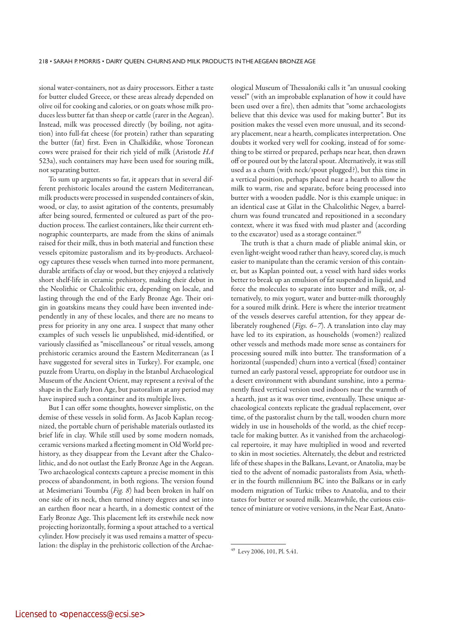sional water-containers, not as dairy processors. Either a taste for butter eluded Greece, or these areas already depended on olive oil for cooking and calories, or on goats whose milk produces less butter fat than sheep or cattle (rarer in the Aegean). Instead, milk was processed directly (by boiling, not agitation) into full-fat cheese (for protein) rather than separating the butter (fat) first. Even in Chalkidike, whose Toronean cows were praised for their rich yield of milk (Aristotle *HA* 523a), such containers may have been used for souring milk, not separating butter.

To sum up arguments so far, it appears that in several different prehistoric locales around the eastern Mediterranean, milk products were processed in suspended containers of skin, wood, or clay, to assist agitation of the contents, presumably after being soured, fermented or cultured as part of the production process. The earliest containers, like their current ethnographic counterparts, are made from the skins of animals raised for their milk, thus in both material and function these vessels epitomize pastoralism and its by-products. Archaeology captures these vessels when turned into more permanent, durable artifacts of clay or wood, but they enjoyed a relatively short shelf-life in ceramic prehistory, making their debut in the Neolithic or Chalcolithic era, depending on locale, and lasting through the end of the Early Bronze Age. Their origin in goatskins means they could have been invented independently in any of these locales, and there are no means to press for priority in any one area. I suspect that many other examples of such vessels lie unpublished, mid-identified, or variously classified as "miscellaneous" or ritual vessels, among prehistoric ceramics around the Eastern Mediterranean (as I have suggested for several sites in Turkey). For example, one puzzle from Urartu, on display in the Istanbul Archaeological Museum of the Ancient Orient, may represent a revival of the shape in the Early Iron Age, but pastoralism at any period may have inspired such a container and its multiple lives.

But I can offer some thoughts, however simplistic, on the demise of these vessels in solid form. As Jacob Kaplan recognized, the portable churn of perishable materials outlasted its brief life in clay. While still used by some modern nomads, ceramic versions marked a fleeting moment in Old World prehistory, as they disappear from the Levant after the Chalcolithic, and do not outlast the Early Bronze Age in the Aegean. Two archaeological contexts capture a precise moment in this process of abandonment, in both regions. The version found at Mesimeriani Toumba (*Fig. 8*) had been broken in half on one side of its neck, then turned ninety degrees and set into an earthen floor near a hearth, in a domestic context of the Early Bronze Age. This placement left its erstwhile neck now projecting horizontally, forming a spout attached to a vertical cylinder. How precisely it was used remains a matter of speculation: the display in the prehistoric collection of the Archaeological Museum of Thessaloniki calls it "an unusual cooking vessel" (with an improbable explanation of how it could have been used over a fire), then admits that "some archaeologists believe that this device was used for making butter". But its position makes the vessel even more unusual, and its secondary placement, near a hearth, complicates interpretation. One doubts it worked very well for cooking, instead of for something to be stirred or prepared, perhaps near heat, then drawn off or poured out by the lateral spout. Alternatively, it was still used as a churn (with neck/spout plugged?), but this time in a vertical position, perhaps placed near a hearth to allow the milk to warm, rise and separate, before being processed into butter with a wooden paddle. Nor is this example unique: in an identical case at Gilat in the Chalcolithic Negev, a barrelchurn was found truncated and repositioned in a secondary context, where it was fixed with mud plaster and (according to the excavator) used as a storage container.<sup>49</sup>

The truth is that a churn made of pliable animal skin, or even light-weight wood rather than heavy, scored clay, is much easier to manipulate than the ceramic version of this container, but as Kaplan pointed out, a vessel with hard sides works better to break up an emulsion of fat suspended in liquid, and force the molecules to separate into butter and milk, or, alternatively, to mix yogurt, water and butter-milk thoroughly for a soured milk drink. Here is where the interior treatment of the vessels deserves careful attention, for they appear deliberately roughened (*Figs. 6–7*). A translation into clay may have led to its expiration, as households (women?) realized other vessels and methods made more sense as containers for processing soured milk into butter. The transformation of a horizontal (suspended) churn into a vertical (fixed) container turned an early pastoral vessel, appropriate for outdoor use in a desert environment with abundant sunshine, into a permanently fixed vertical version used indoors near the warmth of a hearth, just as it was over time, eventually. These unique archaeological contexts replicate the gradual replacement, over time, of the pastoralist churn by the tall, wooden churn more widely in use in households of the world, as the chief receptacle for making butter. As it vanished from the archaeological repertoire, it may have multiplied in wood and reverted to skin in most societies. Alternately, the debut and restricted life of these shapes in the Balkans, Levant, or Anatolia, may be tied to the advent of nomadic pastoralists from Asia, whether in the fourth millennium BC into the Balkans or in early modern migration of Turkic tribes to Anatolia, and to their tastes for butter or soured milk. Meanwhile, the curious existence of miniature or votive versions, in the Near East, Anato-

<sup>49</sup> Levy 2006, 101, Pl. 5.41.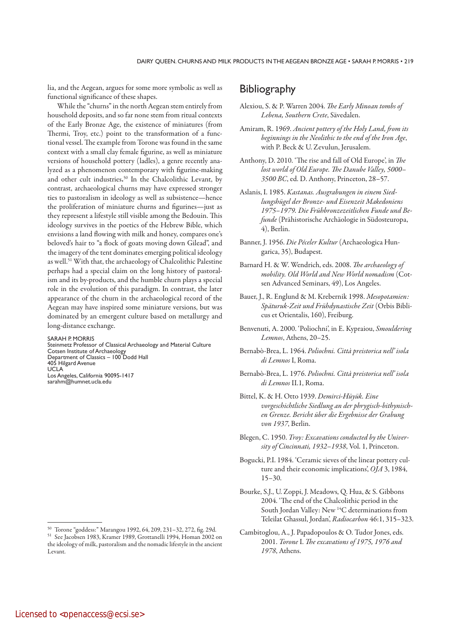lia, and the Aegean, argues for some more symbolic as well as functional significance of these shapes.

While the "churns" in the north Aegean stem entirely from household deposits, and so far none stem from ritual contexts of the Early Bronze Age, the existence of miniatures (from Thermi, Troy, etc.) point to the transformation of a functional vessel. The example from Torone was found in the same context with a small clay female figurine, as well as miniature versions of household pottery (ladles), a genre recently analyzed as a phenomenon contemporary with figurine-making and other cult industries**.** <sup>50</sup> In the Chalcolithic Levant, by contrast, archaeological churns may have expressed stronger ties to pastoralism in ideology as well as subsistence—hence the proliferation of miniature churns and figurines—just as they represent a lifestyle still visible among the Bedouin. This ideology survives in the poetics of the Hebrew Bible, which envisions a land flowing with milk and honey, compares one's beloved's hair to "a flock of goats moving down Gilead", and the imagery of the tent dominates emerging political ideology as well.51 With that, the archaeology of Chalcolithic Palestine perhaps had a special claim on the long history of pastoralism and its by-products, and the humble churn plays a special role in the evolution of this paradigm. In contrast, the later appearance of the churn in the archaeological record of the Aegean may have inspired some miniature versions, but was dominated by an emergent culture based on metallurgy and long-distance exchange.

SARAH P. MORRIS Steinmetz Professor of Classical Archaeology and Material Culture Cotsen Institute of Archaeology Department of Classics – 100 Dodd Hall 405 Hilgard Avenue UCLA Los Angeles, California 90095-1417 sarahm@humnet.ucla.edu

### **Bibliography**

- Alexiou, S. & P. Warren 2004. *The Early Minoan tombs of Lebena, Southern Crete*, Sävedalen.
- Amiram, R. 1969. *Ancient pottery of the Holy Land, from its beginnings in the Neolithic to the end of the Iron Age*, with P. Beck & U. Zevulun, Jerusalem.
- Anthony, D. 2010. 'The rise and fall of Old Europe', in *The lost world of Old Europe. The Danube Valley, 5000– 3500 BC*, ed. D. Anthony, Princeton, 28–57.
- Aslanis, I. 1985. *Kastanas. Ausgrabungen in einem Siedlungshügel der Bronze- und Eisenzeit Makedoniens 1975–1979. Die Frühbronzezeitlichen Funde und Be*funde (Prähistorische Archäologie in Südosteuropa, 4), Berlin.
- Banner, J. 1956. *Die Péceler Kultur* (Archaeologica Hungarica, 35), Budapest.
- Barnard H. & W. Wendrich, eds. 2008. *The archaeology of mobility. Old World and New World nomadism* (Cotsen Advanced Seminars, 49), Los Angeles.
- Bauer, J., R. Englund & M. Krebernik 1998. *Mesopotamien: Späturuk-Zeit und Frühdynastische Zeit* (Orbis Biblicus et Orientalis, 160), Freiburg.
- Benvenuti, A. 2000. 'Poliochni', in E. Kypraiou, *Smouldering Lemnos*, Athens, 20–25.
- Bernabò-Brea, L. 1964. *Poliochni. Città preistorica nell' isola di Lemnos* I, Roma.
- Bernabò-Brea, L. 1976. *Poliochni. Città preistorica nell' isola di Lemnos* II.1, Roma.
- Bittel, K. & H. Otto 1939. *Demirci-Hüyük. Eine vorgeschicht liche Siedlung an der phrygisch-bithynischen Grenze. Bericht über die Ergebnisse der Grabung von 1937*, Berlin.
- Blegen, C. 1950. *Troy: Excavations conducted by the University of Cincinnati, 1932–1938*, Vol. 1, Princeton.
- Bogucki, P.I. 1984. 'Ceramic sieves of the linear pottery culture and their economic implications', *OJA* 3, 1984, 15–30.
- Bourke, S.J., U. Zoppi, J. Meadows, Q. Hua, & S. Gibbons 2004. 'The end of the Chalcolithic period in the South Jordan Valley: New 14C determinations from Teleilat Ghassul, Jordan', *Radiocarbon* 46:1, 315–323.
- Cambitoglou, A., J. Papadopoulos & O. Tudor Jones, eds. 2001. *Torone* I. *The excavations of 1975, 1976 and 1978*, Athens.

<sup>50</sup> Torone "goddess:" Marangou 1992, 64, 209, 231–32, 272, fig. 29d. 51 See Jacobsen 1983, Kramer 1989, Grottanelli 1994, Homan 2002 on the ideology of milk, pastoralism and the nomadic lifestyle in the ancient Levant.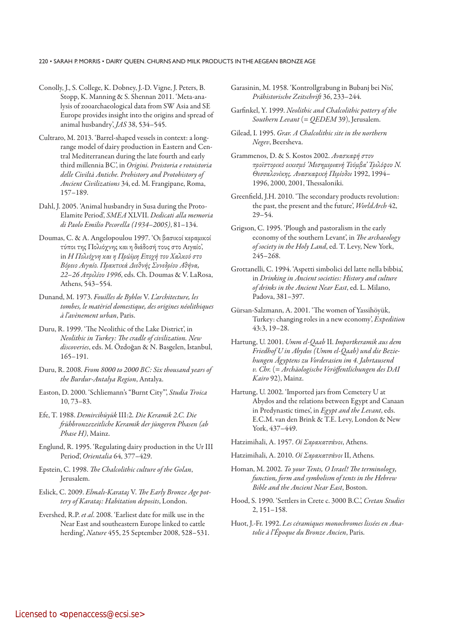#### 220 • SARAH P. MORRIS • DAIRY QUEEN. CHURNS AND MILK PRODUCTS IN THE AEGEAN BRONZE AGE

- Conolly, J., S. College, K. Dobney, J.-D. Vigne, J. Peters, B. Stopp, K. Manning & S. Shennan 2011. 'Meta-analysis of zooarchaeological data from SW Asia and SE Europe provides insight into the origins and spread of animal husbandry', *JAS* 38, 534–545.
- Cultraro, M. 2013. 'Barrel-shaped vessels in context: a longrange model of dairy production in Eastern and Central Mediterranean during the late fourth and early third millennia BC', in *Origini. Preistoria e rotoistoria delle Civiltà Antiche. Prehistory and Protohistory of Ancient Civilizations* 34, ed. M. Frangipane, Roma, 157–189.
- Dahl, J. 2005. 'Animal husbandry in Susa during the Proto-Elamite Period', *SMEA* XLVII. *Dedicati alla memoria di Paolo Emilio Pecorella (1934–2005)*, 81–134.
- Doumas, C. & A. Angelopoulou 1997. 'Οι βασικοί κεραμικοί τύποι της Πολιόχνης και η διάδοσή τους στο Αιγαίο', in *Η Πολιόχνη και η Πρώϊμη Εποχή του Χαλκού στο Βόρειο Αιγαίο. Πρακτικά Διεθνής Συνεδρίου Αθήνα, 22–26 Απριλίου 1996*, eds. Ch. Doumas & V. LaRosa, Athens, 543–554.
- Dunand, M. 1973. *Fouilles de Byblos* V. *L'architecture, les tombes, le matèriel domestique, des origines néolithiques à l'avènement urban*, Paris.
- Duru, R. 1999. 'The Neolithic of the Lake District', in *Neolithic in Turkey: The cradle of civilization. New discoveries*, eds. M. Özdoğan & N. Basgelen, Istanbul, 165–191.
- Duru, R. 2008. *From 8000 to 2000 BC: Six thousand years of the Burdur-Antalya Region*, Antalya.
- Easton, D. 2000. 'Schliemann's "Burnt City"', *Studia Troica* 10, 73–83.
- Efe, T. 1988. *Demircihüyük* III:2*. Die Keramik 2.C. Die frühbronzezeitliche Keramik der jüngeren Phasen (ab Phase H)*, Mainz.
- Englund, R. 1995. 'Regulating dairy production in the Ur III Period', *Orientalia* 64, 377–429.
- Epstein, C. 1998. *The Chalcolithic culture of the Golan*, Jerusalem.
- Eslick, C. 2009. *Elmalı-Karataş* V. *The Early Bronze Age pottery of Karataş: Habitation deposits*, London.
- Evershed, R.P. *et al*. 2008. 'Earliest date for milk use in the Near East and southeastern Europe linked to cattle herding', *Nature* 455, 25 September 2008, 528–531.
- Garasinin, M. 1958. 'Kontrollgrabung in Bubanj bei Nis', *Prähistorische Zeitschrift* 36, 233–244.
- Garfinkel, Y. 1999. *Neolithic and Chalcolithic pottery of the Southern Levant* (= *QEDEM* 39), Jerusalem.
- Gilead, I. 1995. *Grar. A Chalcolithic site in the northern Negev*, Beersheva.
- Grammenos, D. & S. Kostos 2002. *Ανασκαφή στον προϊστορικό οικισμό 'Μεσημεριανή Τούμβα' Τριλόφου Ν. Θεσσαλονίκης. Ανασκαφική Περίοδοι* 1992, 1994– 1996, 2000, 2001, Thessaloniki.
- Greenfield, J.H. 2010. 'The secondary products revolution: the past, the present and the future', *WorldArch* 42, 29–54.
- Grigson, C. 1995. 'Plough and pastoralism in the early economy of the southern Levant', in *The archaeology of society in the Holy Land*, ed. T. Levy, New York, 245–268.
- Grottanelli, C. 1994. 'Aspetti simbolici del latte nella bibbia', in *Drinking in Ancient societies: History and culture of drinks in the Ancient Near East*, ed. L. Milano, Padova, 381–397.
- Gürsan-Salzmann, A. 2001. 'The women of Yassihöyük, Turkey: changing roles in a new economy', *Expedition* 43:3, 19–28.
- Hartung, U. 2001. *Umm el-Qaab* II. *Importkeramik aus dem Friedhof U in Abydos (Umm el-Qaab) und die Beziehungen Ägyptens zu Vorderasien im 4. Jahrtausend v. Chr.* (= *Archäologische Veröffentlichungen des DAI Kairo* 92), Mainz.
- Hartung, U. 2002. 'Imported jars from Cemetery U at Abydos and the relations between Egypt and Canaan in Predynastic times', in *Egypt and the Levant*, eds. E.C.M. van den Brink & T.E. Levy, London & New York, 437–449.
- Hatzimihali, A. 1957. *Οἱ Σαρακατσάνοι*, Athens.
- Hatzimihali, A. 2010. *Οἱ Σαρακατσάνοι* II, Athens.
- Homan, M. 2002. *To your Tents, O Israel! The terminology, function, form and symbolism of tents in the Hebrew Bible and the Ancient Near East*, Boston.
- Hood, S. 1990. 'Settlers in Crete c. 3000 B.C.', *Cretan Studies* 2, 151–158.
- Huot, J.-Fr. 1992. *Les céramiques monochromes lissées en Anatolie à l'Époque du Bronze Ancien*, Paris.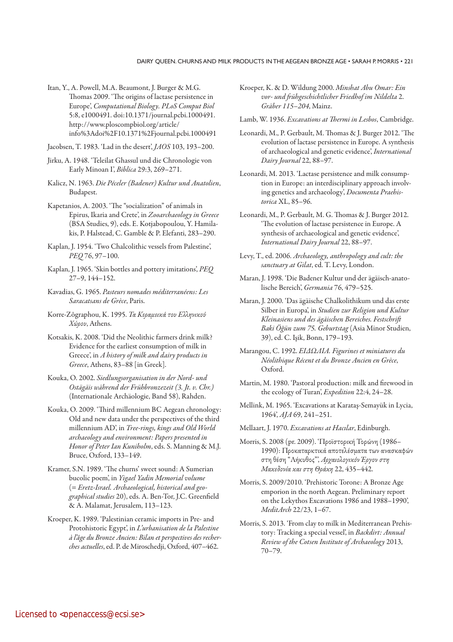- Itan, Y., A. Powell, M.A. Beaumont, J. Burger & M.G. Thomas 2009. 'The origins of lactase persistence in Europe', *Computational Biology. PLoS Comput Biol* 5:8, e1000491. doi:10.1371/journal.pcbi.1000491. http://www.ploscompbiol.org/article/ info%3Adoi%2F10.1371%2Fjournal.pcbi.1000491
- Jacobsen, T. 1983. 'Lad in the desert', *JAOS* 103, 193–200.
- Jirku, A. 1948. 'Teleilat Ghassul und die Chronologie von Early Minoan I', *Biblica* 29:3, 269–271.
- Kalicz, N. 1963. *Die Péceler (Badener) Kultur und Anatolien*, Budapest.
- Kapetanios, A. 2003. 'The "socialization" of animals in Epirus, Ikaria and Crete', in *Zooarchaeology in Greece* (BSA Studies, 9), eds. E. Kotjabopoulou, Y. Hamilakis, P. Halstead, C. Gamble & P. Elefanti, 283–290.
- Kaplan, J. 1954. 'Two Chalcolithic vessels from Palestine', *PEQ* 76, 97–100.
- Kaplan, J. 1965. 'Skin bottles and pottery imitations', *PEQ* 27–9, 144–152.
- Kavadias, G. 1965. *Pasteurs nomades méditerranéens: Les Saracatsans de Grèce*, Paris.
- Korre-Zôgraphou, K. 1995. *Τα Κεραμεικά του Ελληνικού Χώρου*, Athens.
- Kotsakis, K. 2008. 'Did the Neolithic farmers drink milk? Evidence for the earliest consumption of milk in Greece', in *A history of milk and dairy products in Greece*, Athens, 83–88 [in Greek].
- Kouka, O. 2002. *Siedlungsorganisation in der Nord- und Ostägäis während der Frühbronzezeit (3. Jt. v. Chr.)* (Internationale Archäologie, Band 58), Rahden.
- Kouka, O. 2009. 'Third millennium BC Aegean chronology: Old and new data under the perspectives of the third millennium AD', in *Tree-rings, kings and Old World archaeology and environment: Papers presented in Honor of Peter Ian Kuniholm*, eds. S. Manning & M.J. Bruce, Oxford, 133–149.
- Kramer, S.N. 1989. 'The churns' sweet sound: A Sumerian bucolic poem', in *Yigael Yadin Memorial volume* (= *Eretz-Israel. Archaeological, historical and geographical studies* 20), eds. A. Ben-Tor, J.C. Greenfield & A. Malamat, Jerusalem, 113–123.
- Kroeper, K. 1989. 'Palestinian ceramic imports in Pre- and Protohistoric Egypt', in *L'urbanisation de la Palestine à l'âge du Bronze Ancien: Bilan et perspectives des recherches actuelles*, ed. P. de Miroschedji, Oxford, 407–462.
- Kroeper, K. & D. Wildung 2000. *Minshat Abu Omar: Ein vor- und frühgeschichtlicher Friedhof im Nildelta* 2. *Gräber 115–204*, Mainz.
- Lamb, W. 1936. *Excavations at Thermi in Lesbos*, Cambridge.
- Leonardi, M., P. Gerbault, M. Thomas & J. Burger 2012. 'The evolution of lactase persistence in Europe. A synthesis of archaeological and genetic evidence', *International Dairy Journal* 22, 88–97.
- Leonardi, M. 2013. 'Lactase persistence and milk consumption in Europe: an interdisciplinary approach involving genetics and archaeology', *Documenta Praehistorica* XL, 85–96.
- Leonardi, M., P. Gerbault, M. G. Thomas & J. Burger 2012. 'The evolution of lactase persistence in Europe. A synthesis of archaeological and genetic evidence', *International Dairy Journal* 22, 88–97.
- Levy, T., ed. 2006. *Archaeology, anthropology and cult: the sanctuary at Gilat*, ed. T. Levy, London.
- Maran, J. 1998. 'Die Badener Kultur und der ägäisch-anatolische Bereich', *Germania* 76, 479–525.
- Maran, J. 2000. 'Das ägäische Chalkolithikum und das erste Silber in Europa', in *Studien zur Religion und Kultur Kleinasiens und des ägäischen Bereiches. Festschrift Baki Öğün zum 75. Geburtstag* (Asia Minor Studien, 39), ed. C. Işik, Bonn, 179–193.
- Marangou, C. 1992. *ΕΙΔΩΛΙΑ. Figurines et miniatures du Néolithique Récent et du Bronze Ancien en Grèce*, Oxford.
- Martin, M. 1980. 'Pastoral production: milk and firewood in the ecology of Turan', *Expedition* 22:4, 24–28.
- Mellink, M. 1965. 'Excavations at Karataş-Semayük in Lycia, 1964', *AJA* 69, 241–251.
- Mellaart, J. 1970. *Excavations at Hacılar*, Edinburgh.
- Morris, S. 2008 (pr. 2009). 'Προϊστορική Τορώνη (1986– 1990): Προκαταρκτικά αποτελέσματα των ανασκαφών στη θέση "Λήκυθος"', *Αρχαιολογικόν Έργον στη Μακεδονία και στη Θράκη* 22, 435–442.
- Morris, S. 2009/2010. 'Prehistoric Torone: A Bronze Age emporion in the north Aegean. Preliminary report on the Lekythos Excavations 1986 and 1988–1990', *MeditArch* 22/23, 1–67.
- Morris, S. 2013. 'From clay to milk in Mediterranean Prehistory: Tracking a special vessel', in *Backdirt: Annual Review of the Cotsen Institute of Archaeology* 2013, 70–79.